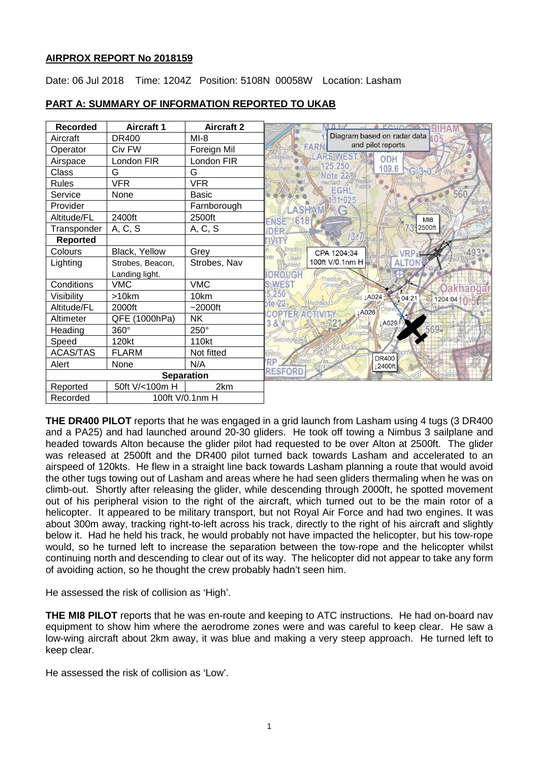## **AIRPROX REPORT No 2018159**

Date: 06 Jul 2018 Time: 1204Z Position: 5108N 00058W Location: Lasham

| <b>Recorded</b>   | <b>Aircraft 1</b> | <b>Aircraft 2</b> |                                                          |
|-------------------|-------------------|-------------------|----------------------------------------------------------|
| Aircraft          | <b>DR400</b>      | $MI-8$            | Diagram based on radar data                              |
| Operator          | Civ FW            | Foreign Mil       | and pilot reports<br><b>FARN</b>                         |
| Airspace          | London FIR        | London FIR        | ODH<br>25.250                                            |
| Class             | G                 | G                 | 109.6<br>Broadmere<br>Note                               |
| Rules             | <b>VFR</b>        | <b>VFR</b>        | <b>Namborough</b>                                        |
| Service           | None              | <b>Basic</b>      | EGH<br>560<br>131-025                                    |
| Provider          |                   | Farnborough       | <b>ASHAM</b><br>G                                        |
| Altitude/FL       | 2400ft            | 2500ft            | M18<br>NSE                                               |
| Transponder       | A, C, S           | A, C, S           | 2500ft<br>FR                                             |
| <b>Reported</b>   |                   |                   |                                                          |
| Colours           | Black, Yellow     | Grey              | Bradley<br>CPA 1204:34<br><b>VRP</b>                     |
| Lighting          | Strobes, Beacon,  | Strobes, Nav      | ower<br>100ft V/0.1nm H<br><b>ALTON</b><br><b>SWield</b> |
|                   | Landing light.    |                   | ORONGH<br>Thedder                                        |
| Conditions        | <b>VMC</b>        | <b>VMC</b>        | WES <sup>-</sup><br>Grang                                |
| Visibility        | >10km             | 10km              | 250<br>Bee JA024<br>104:21<br>1204:04                    |
| Altitude/FL       | 2000ft            | $-2000$ ft        | 7e/22<br><b>JA026</b>                                    |
| Altimeter         | QFE (1000hPa)     | NΚ                | <b>COPTER</b><br><b>A029</b><br>8                        |
| Heading           | $360^\circ$       | 250°              | <b>OW6</b><br>569<br>arringdo                            |
| Speed             | 120kt             | 110kt             | Soldridge)                                               |
| ACAS/TAS          | <b>FLARM</b>      | Not fitted        | dietor<br><b>DR400</b>                                   |
| Alert             | None              | N/A               | RP<br>12400ft                                            |
| <b>Separation</b> |                   |                   | RESFORD                                                  |
| Reported          | 50ft V/<100m H    | 2km               |                                                          |
| Recorded          | 100ft V/0.1nm H   |                   |                                                          |

# **PART A: SUMMARY OF INFORMATION REPORTED TO UKAB**

**THE DR400 PILOT** reports that he was engaged in a grid launch from Lasham using 4 tugs (3 DR400 and a PA25) and had launched around 20-30 gliders. He took off towing a Nimbus 3 sailplane and headed towards Alton because the glider pilot had requested to be over Alton at 2500ft. The glider was released at 2500ft and the DR400 pilot turned back towards Lasham and accelerated to an airspeed of 120kts. He flew in a straight line back towards Lasham planning a route that would avoid the other tugs towing out of Lasham and areas where he had seen gliders thermaling when he was on climb-out. Shortly after releasing the glider, while descending through 2000ft, he spotted movement out of his peripheral vision to the right of the aircraft, which turned out to be the main rotor of a helicopter. It appeared to be military transport, but not Royal Air Force and had two engines. It was about 300m away, tracking right-to-left across his track, directly to the right of his aircraft and slightly below it. Had he held his track, he would probably not have impacted the helicopter, but his tow-rope would, so he turned left to increase the separation between the tow-rope and the helicopter whilst continuing north and descending to clear out of its way. The helicopter did not appear to take any form of avoiding action, so he thought the crew probably hadn't seen him.

He assessed the risk of collision as 'High'.

**THE MI8 PILOT** reports that he was en-route and keeping to ATC instructions. He had on-board nav equipment to show him where the aerodrome zones were and was careful to keep clear. He saw a low-wing aircraft about 2km away, it was blue and making a very steep approach. He turned left to keep clear.

He assessed the risk of collision as 'Low'.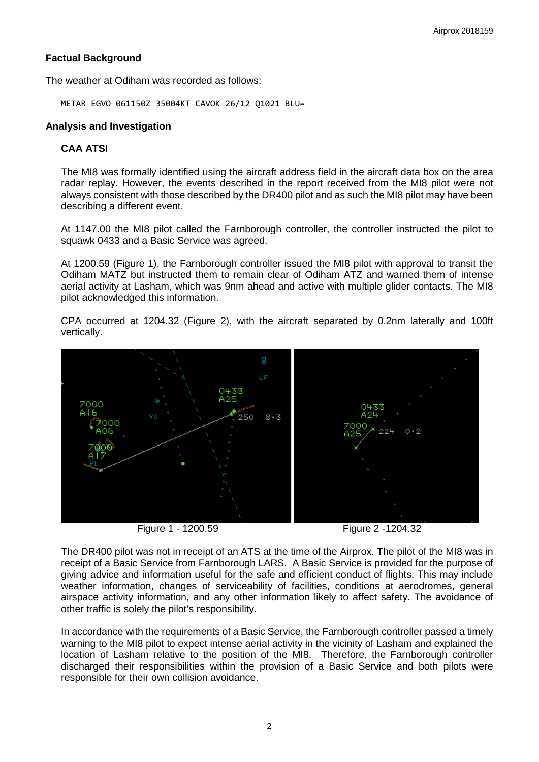# **Factual Background**

The weather at Odiham was recorded as follows:

METAR EGVO 061150Z 35004KT CAVOK 26/12 Q1021 BLU=

## **Analysis and Investigation**

# **CAA ATSI**

The MI8 was formally identified using the aircraft address field in the aircraft data box on the area radar replay. However, the events described in the report received from the MI8 pilot were not always consistent with those described by the DR400 pilot and as such the MI8 pilot may have been describing a different event.

At 1147.00 the MI8 pilot called the Farnborough controller, the controller instructed the pilot to squawk 0433 and a Basic Service was agreed.

At 1200.59 (Figure 1), the Farnborough controller issued the MI8 pilot with approval to transit the Odiham MATZ but instructed them to remain clear of Odiham ATZ and warned them of intense aerial activity at Lasham, which was 9nm ahead and active with multiple glider contacts. The MI8 pilot acknowledged this information.

CPA occurred at 1204.32 (Figure 2), with the aircraft separated by 0.2nm laterally and 100ft vertically.



Figure 1 - 1200.59 Figure 2 -1204.32

The DR400 pilot was not in receipt of an ATS at the time of the Airprox. The pilot of the MI8 was in receipt of a Basic Service from Farnborough LARS. A Basic Service is provided for the purpose of giving advice and information useful for the safe and efficient conduct of flights. This may include weather information, changes of serviceability of facilities, conditions at aerodromes, general airspace activity information, and any other information likely to affect safety. The avoidance of other traffic is solely the pilot's responsibility.

In accordance with the requirements of a Basic Service, the Farnborough controller passed a timely warning to the MI8 pilot to expect intense aerial activity in the vicinity of Lasham and explained the location of Lasham relative to the position of the MI8. Therefore, the Farnborough controller discharged their responsibilities within the provision of a Basic Service and both pilots were responsible for their own collision avoidance.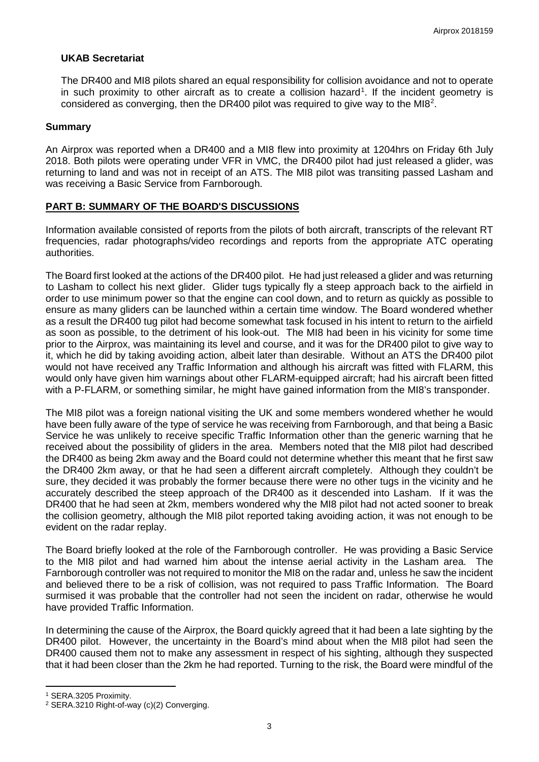## **UKAB Secretariat**

The DR400 and MI8 pilots shared an equal responsibility for collision avoidance and not to operate in such proximity to other aircraft as to create a collision hazard<sup>[1](#page-2-0)</sup>. If the incident geometry is considered as converging, then the DR400 pilot was required to give way to the MI8<sup>[2](#page-2-1)</sup>.

### **Summary**

An Airprox was reported when a DR400 and a MI8 flew into proximity at 1204hrs on Friday 6th July 2018. Both pilots were operating under VFR in VMC, the DR400 pilot had just released a glider, was returning to land and was not in receipt of an ATS. The MI8 pilot was transiting passed Lasham and was receiving a Basic Service from Farnborough.

## **PART B: SUMMARY OF THE BOARD'S DISCUSSIONS**

Information available consisted of reports from the pilots of both aircraft, transcripts of the relevant RT frequencies, radar photographs/video recordings and reports from the appropriate ATC operating authorities.

The Board first looked at the actions of the DR400 pilot. He had just released a glider and was returning to Lasham to collect his next glider. Glider tugs typically fly a steep approach back to the airfield in order to use minimum power so that the engine can cool down, and to return as quickly as possible to ensure as many gliders can be launched within a certain time window. The Board wondered whether as a result the DR400 tug pilot had become somewhat task focused in his intent to return to the airfield as soon as possible, to the detriment of his look-out. The MI8 had been in his vicinity for some time prior to the Airprox, was maintaining its level and course, and it was for the DR400 pilot to give way to it, which he did by taking avoiding action, albeit later than desirable. Without an ATS the DR400 pilot would not have received any Traffic Information and although his aircraft was fitted with FLARM, this would only have given him warnings about other FLARM-equipped aircraft; had his aircraft been fitted with a P-FLARM, or something similar, he might have gained information from the MI8's transponder.

The MI8 pilot was a foreign national visiting the UK and some members wondered whether he would have been fully aware of the type of service he was receiving from Farnborough, and that being a Basic Service he was unlikely to receive specific Traffic Information other than the generic warning that he received about the possibility of gliders in the area. Members noted that the MI8 pilot had described the DR400 as being 2km away and the Board could not determine whether this meant that he first saw the DR400 2km away, or that he had seen a different aircraft completely. Although they couldn't be sure, they decided it was probably the former because there were no other tugs in the vicinity and he accurately described the steep approach of the DR400 as it descended into Lasham. If it was the DR400 that he had seen at 2km, members wondered why the MI8 pilot had not acted sooner to break the collision geometry, although the MI8 pilot reported taking avoiding action, it was not enough to be evident on the radar replay.

The Board briefly looked at the role of the Farnborough controller. He was providing a Basic Service to the MI8 pilot and had warned him about the intense aerial activity in the Lasham area. The Farnborough controller was not required to monitor the MI8 on the radar and, unless he saw the incident and believed there to be a risk of collision, was not required to pass Traffic Information. The Board surmised it was probable that the controller had not seen the incident on radar, otherwise he would have provided Traffic Information.

In determining the cause of the Airprox, the Board quickly agreed that it had been a late sighting by the DR400 pilot. However, the uncertainty in the Board's mind about when the MI8 pilot had seen the DR400 caused them not to make any assessment in respect of his sighting, although they suspected that it had been closer than the 2km he had reported. Turning to the risk, the Board were mindful of the

l

<span id="page-2-0"></span><sup>1</sup> SERA.3205 Proximity.

<span id="page-2-1"></span><sup>2</sup> SERA.3210 Right-of-way (c)(2) Converging.